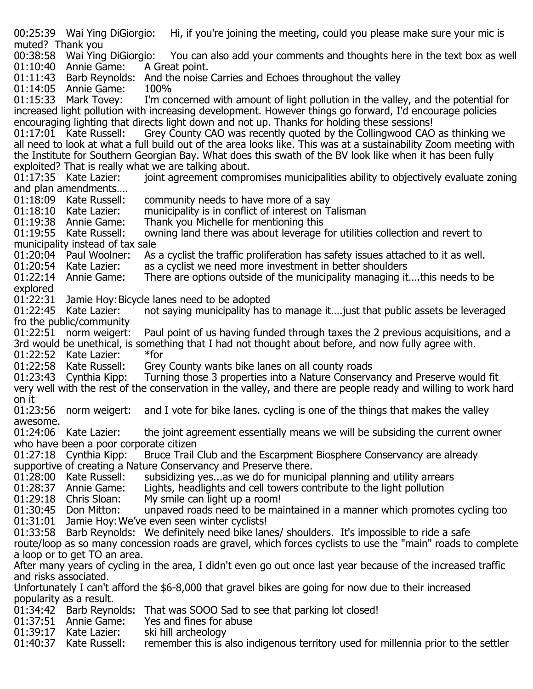00:25:39 Wai Ying DiGiorgio: Hi, if you're joining the meeting, could you please make sure your mic is muted? Thank you<br>00:38:58 Wai Ying DiGiorgio: io: You can also add your comments and thoughts here in the text box as well A Great point. 01:10:40 Annie Game: 01:11:43 Barb Reynolds: And the noise Carries and Echoes throughout the valley 01:14:05 Annie Game: 100% 01:14:05 Annie Game:<br>01:15:33 Mark Tovey: I'm concerned with amount of light pollution in the valley, and the potential for increased light pollution with increasing development. However things go forward, I'd encourage policies encouraging lighting that directs light down and not up. Thanks for holding these sessions!<br>01:17:01 Kate Russell: Grev County CAO was recently quoted by the Collingwood CAO Grey County CAO was recently quoted by the Collingwood CAO as thinking we all need to look at what a full build out of the area looks like. This was at a sustainability Zoom meeting with the Institute for Southern Georgian Bay. What does this swath of the BV look like when it has been fully exploited? That is really what we are talking about. joint agreement compromises municipalities ability to objectively evaluate zoning and plan amendments....<br>01:18:09 Kate Russell: 01:18:09 Kate Russell: community needs to have more of a say<br>01:18:10 Kate Lazier: municipality is in conflict of interest on Ta 01:18:10 Kate Lazier: municipality is in conflict of interest on Talisman<br>01:19:38 Annie Game: Thank you Michelle for mentioning this 01:19:38 Annie Game: Thank you Michelle for mentioning this<br>01:19:55 Kate Russell: owning land there was about leverage f owning land there was about leverage for utilities collection and revert to municipality instead of tax sale<br>01:20:04 Paul Woolner: As 01:20:04 Paul Woolner: As a cyclist the traffic proliferation has safety issues attached to it as well.<br>01:20:54 Kate Lazier: as a cyclist we need more investment in better shoulders 01:20:54 Kate Lazier: as a cyclist we need more investment in better shoulders<br>01:22:14 Annie Game: There are options outside of the municipality managing it There are options outside of the municipality managing it....this needs to be explored<br>01:22:31 01:22:31 Jamie Hoy: Bicycle lanes need to be adopted<br>01:22:45 Kate Lazier: not saying municipality has not saying municipality has to manage it.... just that public assets be leveraged fro the public/community<br>01:22:51 norm weigert: Paul point of us having funded through taxes the 2 previous acquisitions, and a 3rd would be unethical, is something that I had not thought about before, and now fully agree with.<br>01:22:52 Kate Lazier: \*for 01:22:52 Kate Lazier:<br>01:22:58 Kate Russell: 01:22:58 Kate Russell: Grey County wants bike lanes on all county roads<br>01:23:43 Cynthia Kipp: Turning those 3 properties into a Nature Conserva Turning those 3 properties into a Nature Conservancy and Preserve would fit very well with the rest of the conservation in the valley, and there are people ready and willing to work hard on it<br>01:23:56 norm weigert: and I vote for bike lanes. cycling is one of the things that makes the valley awesome.<br>01:24:06 Kate Lazier: the joint agreement essentially means we will be subsiding the current owner who have been a poor corporate citizen<br>01:27:18 Cynthia Kipp: Bruce Trail Bruce Trail Club and the Escarpment Biosphere Conservancy are already supportive of creating a Nature Conservancy and Preserve there.<br>01:28:00 Kate Russell: subsidizing yes...as we do for munici 01:28:00 Kate Russell: subsidizing yes...as we do for municipal planning and utility arrears 01:28:37 Annie Game: Lights, headlights and cell towers contribute to the light pollution 01:28:37 Annie Game: Lights, headlights and cell towers contribute to the light pollution 01:29:18 Chris Sloan: My smile can light up a room! 01:29:18 Chris Sloan: My smile can light up a room!<br>01:30:45 Don Mitton: unpaved roads need to be ma unpaved roads need to be maintained in a manner which promotes cycling too 01:31:01 Jamie Hoy:We've even seen winter cyclists! 01:33:58 Barb Reynolds: We definitely need bike lanes/ shoulders. It's impossible to ride a safe route/loop as so many concession roads are gravel, which forces cyclists to use the "main" roads to complete a loop or to get TO an area. After many years of cycling in the area, I didn't even go out once last year because of the increased traffic and risks associated. Unfortunately I can't afford the \$6-8,000 that gravel bikes are going for now due to their increased popularity as a result. 01:34:42 Barb Reynolds: That was SOOO Sad to see that parking lot closed!<br>01:37:51 Annie Game: Yes and fines for abuse 01:37:51 Annie Game: Yes and fines for a<br>01:39:17 Kate Lazier: ski hill archeology 01:39:17 Kate Lazier:<br>01:40:37 Kate Russell: remember this is also indigenous territory used for millennia prior to the settler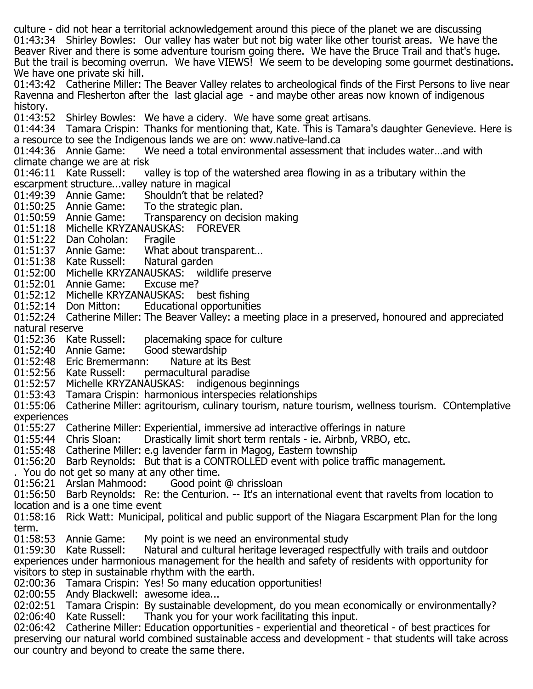culture - did not hear a territorial acknowledgement around this piece of the planet we are discussing 01:43:34 Shirley Bowles: Our valley has water but not big water like other tourist areas. We have the Beaver River and there is some adventure tourism going there. We have the Bruce Trail and that's huge. But the trail is becoming overrun. We have VIEWS! We seem to be developing some gourmet destinations. We have one private ski hill.

01:43:42 Catherine Miller: The Beaver Valley relates to archeological finds of the First Persons to live near Ravenna and Flesherton after the last glacial age - and maybe other areas now known of indigenous history.<br>01:43:52

Shirley Bowles: We have a cidery. We have some great artisans.

01:44:34 Tamara Crispin: Thanks for mentioning that, Kate. This is Tamara's daughter Genevieve. Here is a resource to see the Indigenous lands we are on: www.native-land.ca<br>01:44:36 Annie Game: We need a total environmental assessment

We need a total environmental assessment that includes water…and with climate change we are at risk<br>01:46:11 Kate Russell: va

valley is top of the watershed area flowing in as a tributary within the escarpment structure...valley nature in magical<br>01:49:39 Annie Game: Shouldn't that be re

- Shouldn't that be related?<br>To the strategic plan.
- 01:50:25 Annie Game:<br>01:50:59 Annie Game:
- Transparency on decision making
- 01:51:18 Michelle KRYZANAUSKAS: FOREVER<br>01:51:22 Dan Coholan: Fragile
- 

01:51:22 Dan Coholan: Fragile<br>01:51:37 Annie Game: What about transparent... 01:51:37 Annie Game: What about tra<br>01:51:38 Kate Russell: Natural garden

- 01:51:38 Kate Russell:
- 01:52:00 Michelle KRYZANAUSKAS: wildlife preserve<br>01:52:01 Annie Game: Excuse me?
- 
- 01:52:01 Annie Game: Excuse me?<br>01:52:12 Michelle KRYZANAUSKAS: best fishing 01:52:12 Michelle KRYZANAUSKAS:<br>01:52:14 Don Mitton: Education
- Educational opportunities

01:52:24 Catherine Miller: The Beaver Valley: a meeting place in a preserved, honoured and appreciated natural reserve<br>01:52:36 Kate Russell:

- placemaking space for culture<br>Good stewardship
- 
- 01:52:40 Annie Game: Good stewardship<br>01:52:48 Eric Bremermann: Nature at its Best 01:52:48 Eric Bremermann: Nature at its Best<br>01:52:56 Kate Russell: permacultural paradise
- 01:52:56 Kate Russell:
- 01:52:57 Michelle KRYZANAUSKAS: indigenous beginnings<br>01:53:43 Tamara Crispin: harmonious interspecies relationsl
- 01:53:43 Tamara Crispin: harmonious interspecies relationships

01:55:06 Catherine Miller: agritourism, culinary tourism, nature tourism, wellness tourism. COntemplative experiences

- 01:55:27 Catherine Miller: Experiential, immersive ad interactive offerings in nature<br>01:55:44 Chris Sloan: Drastically limit short term rentals ie. Airbnb, VRBO, etc
- Drastically limit short term rentals ie. Airbnb, VRBO, etc.
- 01:55:48 Catherine Miller: e.g lavender farm in Magog, Eastern township
- 01:56:20 Barb Reynolds: But that is a CONTROLLED event with police traffic management.
- 
- . You do not get so many at any other time. 01:56:21 Arslan Mahmood:

01:56:50 Barb Reynolds: Re: the Centurion. -- It's an international event that ravelts from location to location and is a one time event

01:58:16 Rick Watt: Municipal, political and public support of the Niagara Escarpment Plan for the long term.<br>01:58:53 Annie Game:

01:58:53 Annie Game: My point is we need an environmental study<br>01:59:30 Kate Russell: Natural and cultural heritage leveraged respe

Natural and cultural heritage leveraged respectfully with trails and outdoor experiences under harmonious management for the health and safety of residents with opportunity for visitors to step in sustainable rhythm with the earth.

02:00:36 Tamara Crispin: Yes! So many education opportunities!

02:00:55 Andy Blackwell: awesome idea...

02:02:51 Tamara Crispin: By sustainable development, do you mean economically or environmentally?<br>02:06:40 Kate Russell: Thank you for your work facilitating this input. Thank you for your work facilitating this input.

02:06:42 Catherine Miller: Education opportunities - experiential and theoretical - of best practices for preserving our natural world combined sustainable access and development - that students will take across our country and beyond to create the same there.